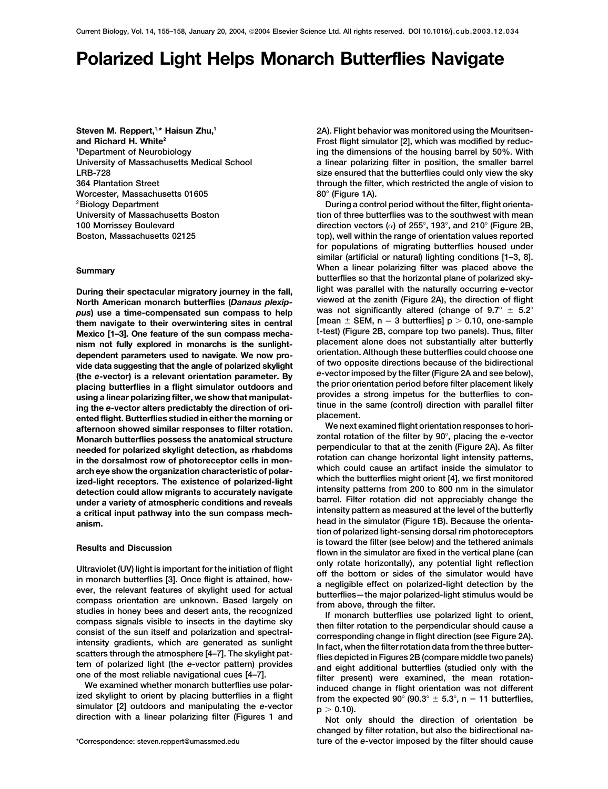# **Polarized Light Helps Monarch Butterflies Navigate**

Department of Neurobiology Worcester, Massachusetts 01605  $80^\circ$  (Figure 1A).

**North American monarch butterflies (***Danaus plexip-* viewed at the zenith (Figure 2A), the direction of flight pus) use a time-compensated sun compass to help<br>them navigate to their overwintering sites in central [mean  $\pm$  SEM, n = 3 butterflies] p > 0.10, one-sample<br>Mexico [1–3] One feature of the sun compass mecha-<br>Mexico [1–3] Mexico [1–3]. One feature of the sun compass mecha-<br>nism not fully explored in monarche is the suplight-<br>placement alone does not substantially alter butterfly nism not fully explored in monarchs is the sunlight-<br>dependent parameters used to navigate. We now pro-<br>vide data suggesting that the angle of polarized skylight<br>the expector) is a relevant crientation parameter. By<br>the ex (the e-vector) is a relevant orientation parameter. By<br>placing butterflies in a flight simulator outdoors and<br>using a linear polarizing filter, we show that manipulat-<br>ing the e-vector alters predictably the direction of o afternoon showed similar responses to filter rotation.<br>Monarch butterflies possess the anatomical structure zontal rotation of the filter by 90°, placing the *e*-vector<br>needed for polarized skylight detection as rhabdoms p needed for polarized skylight detection, as rhabdoms<br>in the dorsalmost row of photoreceptor cells in mon-<br>arch eye show the organization characteristic of polar-<br>ized-light receptors. The existence of polarized-light<br>ized-

Ultraviolet (UV) light is important for the initiation of flight<br>
in monarch butterflies [3]. Once flight is attained, how-<br>
in monarch butterflies [3]. Once flight is attained, how-<br>
an engligible effect on polarized-lig

**Steven M. Reppert, <sup>1,\*</sup> Haisun Zhu,<sup>1</sup> 1,4 and 24 and 24 and 2A). Flight behavior was monitored using the Mouritsenand Richard H. White<sup>2</sup> Frost flight simulator [2], which was modified by reduc**ing the dimensions of the housing barrel by 50%. With University of Massachusetts Medical School a linear polarizing filter in position, the smaller barrel LRB-728 size ensured that the butterflies could only view the sky 364 Plantation Street through the filter, which restricted the angle of vision to

<sup>2</sup>Biology Department **During a control period without the filter, flight orienta-**University of Massachusetts Boston the southwest with mean tion of three butterflies was to the southwest with mean 100 Morrissey Boulevard **direction vectors (** $\alpha$ **)** of 255°, 193°, and 210° (Figure 2B, Boston, Massachusetts 02125 top), well within the range of orientation values reported for populations of migrating butterflies housed under similar (artificial or natural) lighting conditions [1–3, 8]. When a linear polarizing filter was placed above the **Summary** butterflies so that the horizontal plane of polarized sky-**During their spectacular migratory journey in the fall, light was parallel with the naturally occurring** *e***-vector<br>North American monarch butterflies (Danaus plexin-<br>viewed at the zenith (Figure 2A), the direction of flig** 

tion of polarized light-sensing dorsal rim photoreceptors is toward the filter (see below) and the tethered animals<br>flown in the simulator are fixed in the vertical plane (can

changed by filter rotation, but also the bidirectional na- \*Correspondence: steven.reppert@umassmed.edu ture of the *e*-vector imposed by the filter should cause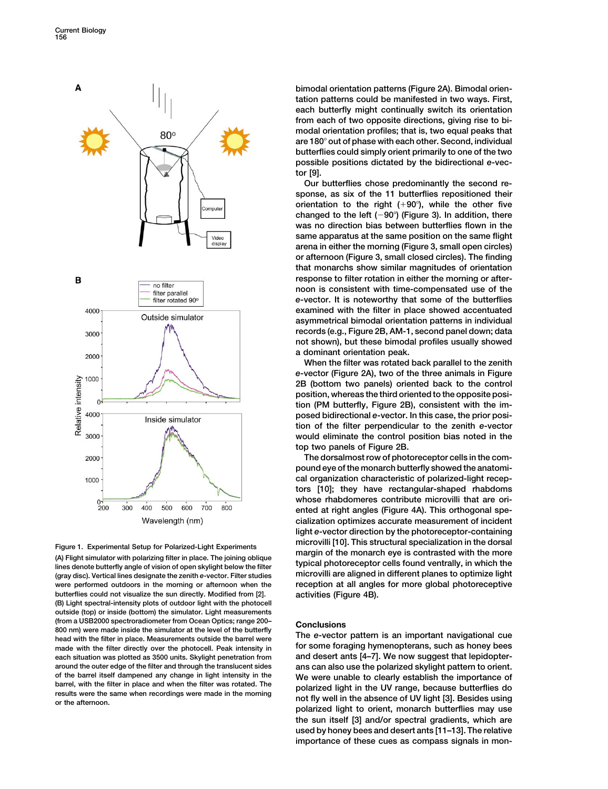

(gray disc). Vertical lines designate the zenith e-vector. Filter studies were performed outdoors in the morning or afternoon when the reception at all angles for more global photoreceptive butterflies could not visualize the sun directly. Modified from [2]. activities (Figure 4B). (B) Light spectral-intensity plots of outdoor light with the photocell outside (top) or inside (bottom) the simulator. Light measurements (from a USB2000 spectroradiometer from Ocean Optics; range 200-<br>800 nm) were made inside the simulator at the level of the butterfly<br>head with the filter in place. Measurements outside the barrel were<br>head with the filter made with the filter directly over the photocell. Peak intensity in for some foraging hymenopterans, such as honey bees each situation was plotted as 3500 units. Skylight penetration from and desert ants [4–7]. We now suggest that lepidopteraround the outer edge of the filter and through the translucent sides ans can also use the polarized skylight pattern to orient. of the barrel itself dampened any change in light intensity in the We were unable to clearly establish the importance of barrel, with the filter in place and when the filter was rotated. The results were the same when reco

bimodal orientation patterns (Figure 2A). Bimodal orientation patterns could be manifested in two ways. First, each butterfly might continually switch its orientation from each of two opposite directions, giving rise to bimodal orientation profiles; that is, two equal peaks that are 180° out of phase with each other. Second, individual butterflies could simply orient primarily to one of the two possible positions dictated by the bidirectional *e*-vector [9].

Our butterflies chose predominantly the second response, as six of the 11 butterflies repositioned their orientation to the right  $(+90^\circ)$ , while the other five changed to the left  $(-90^{\circ})$  (Figure 3). In addition, there was no direction bias between butterflies flown in the same apparatus at the same position on the same flight arena in either the morning (Figure 3, small open circles) or afternoon (Figure 3, small closed circles). The finding that monarchs show similar magnitudes of orientation response to filter rotation in either the morning or afternoon is consistent with time-compensated use of the *e*-vector. It is noteworthy that some of the butterflies examined with the filter in place showed accentuated asymmetrical bimodal orientation patterns in individual records (e.g., Figure 2B, AM-1, second panel down; data not shown), but these bimodal profiles usually showed a dominant orientation peak.

When the filter was rotated back parallel to the zenith *e*-vector (Figure 2A), two of the three animals in Figure 2B (bottom two panels) oriented back to the control position, whereas the third oriented to the opposite position (PM butterfly, Figure 2B), consistent with the imposed bidirectional *e*-vector. In this case, the prior position of the filter perpendicular to the zenith *e*-vector would eliminate the control position bias noted in the top two panels of Figure 2B.

The dorsalmost row of photoreceptor cells in the compound eye of the monarch butterfly showed the anatomical organization characteristic of polarized-light receptors [10]; they have rectangular-shaped rhabdoms whose rhabdomeres contribute microvilli that are oriented at right angles (Figure 4A). This orthogonal specialization optimizes accurate measurement of incident light *e*-vector direction by the photoreceptor-containing Figure 1. Experimental Setup for Polarized-Light Experiments<br>
(A) Flight simulator with polarizing filter in place. The joining oblique<br>
lines denote butterfly angle of vision of open skylight below the filter<br>
(ray disc)

polarized light to orient, monarch butterflies may use the sun itself [3] and/or spectral gradients, which are used by honey bees and desert ants [11–13]. The relative importance of these cues as compass signals in mon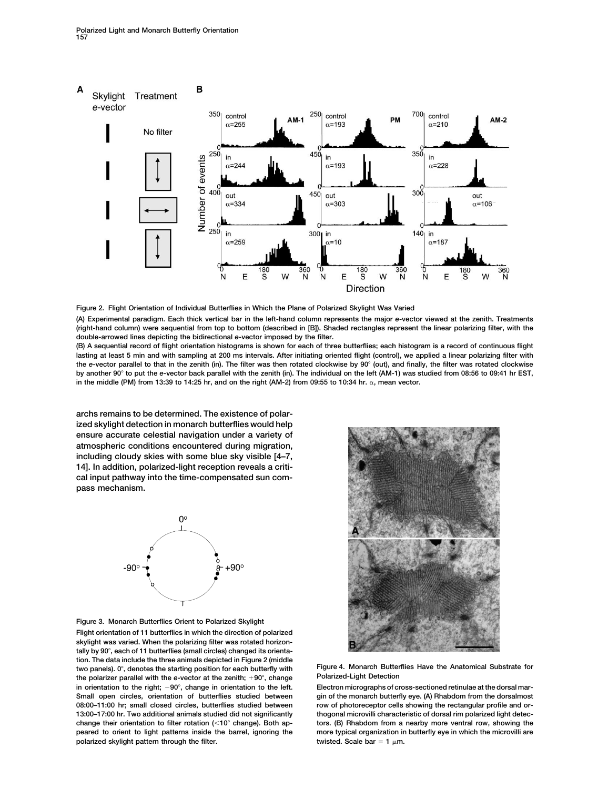Polarized Light and Monarch Butterfly Orientation 157





(A) Experimental paradigm. Each thick vertical bar in the left-hand column represents the major *e*-vector viewed at the zenith. Treatments (right-hand column) were sequential from top to bottom (described in [B]). Shaded rectangles represent the linear polarizing filter, with the double-arrowed lines depicting the bidirectional *e*-vector imposed by the filter.

(B) A sequential record of flight orientation histograms is shown for each of three butterflies; each histogram is a record of continuous flight lasting at least 5 min and with sampling at 200 ms intervals. After initiating oriented flight (control), we applied a linear polarizing filter with the e-vector parallel to that in the zenith (in). The filter was then rotated clockwise by 90° (out), and finally, the filter was rotated clockwise by another 90° to put the e-vector back parallel with the zenith (in). The individual on the left (AM-1) was studied from 08:56 to 09:41 hr EST, in the middle (PM) from 13:39 to 14:25 hr, and on the right (AM-2) from 09:55 to 10:34 hr.  $\alpha$ , mean vector.

archs remains to be determined. The existence of polarized skylight detection in monarch butterflies would help ensure accurate celestial navigation under a variety of atmospheric conditions encountered during migration, including cloudy skies with some blue sky visible [4–7, 14]. In addition, polarized-light reception reveals a critical input pathway into the time-compensated sun compass mechanism.





Flight orientation of 11 butterflies in which the direction of polarized skylight was varied. When the polarizing filter was rotated horizontally by 90°, each of 11 butterflies (small circles) changed its orientation. The data include the three animals depicted in Figure 2 (middle two panels). 0°, denotes the starting position for each butterfly with Figure 4. Monarch Butterflies Have the Anatomical Substrate for the polarized Light Detection the polarizer parallel with the *e*-vector at the zenith; +90°, change in orientation to the right; -90°, change in orientation to the left. 08:00-11:00 hr; small closed circles, butterflies studied between row of photoreceptor cells showing the rectangular profile and orpolarized skylight pattern through the filter. the state of twisted. Scale bar = 1  $\mu$ m.



Electron micrographs of cross-sectioned retinulae at the dorsal mar-Small open circles, orientation of butterflies studied between gin of the monarch butterfly eye. (A) Rhabdom from the dorsalmost 13:00–17:00 hr. Two additional animals studied did not significantly thogonal microvilli characteristic of dorsal rim polarized light detec-<br>change their orientation to filter rotation (<10° change). Both ap-<br>tors. (B) Rh tors. (B) Rhabdom from a nearby more ventral row, showing the peared to orient to light patterns inside the barrel, ignoring the more typical organization in butterfly eye in which the microvilli are